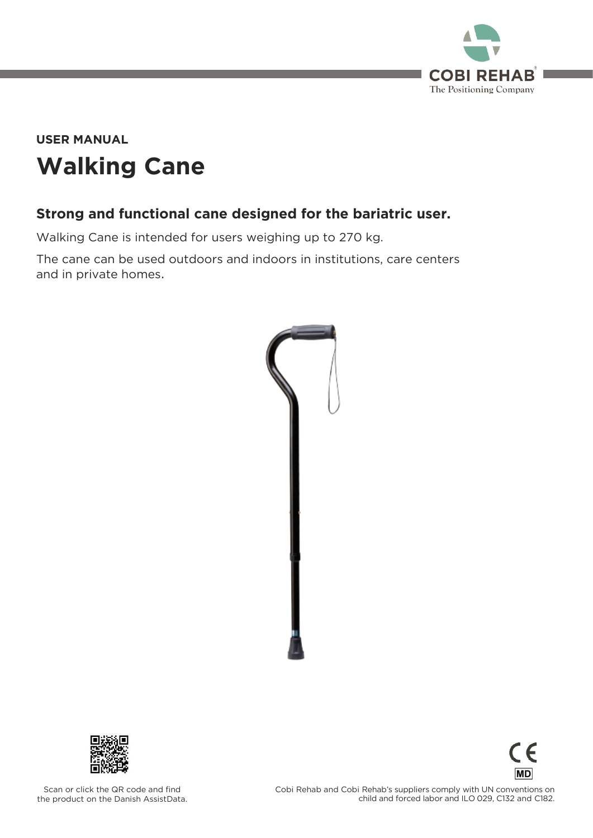

# **Walking Cane USER MANUAL**

#### **Strong and functional cane designed for the bariatric user.**

Walking Cane is intended for users weighing up to 270 kg.<br>The cane can be used outdoors and indoors in institutions, care centers and in private homes. and in private homes.





Έ **MD** 

**Scan of the Danish Assist Data** the product on the Danish AssistData.  $\frac{1}{2}$  child and forced labor and II 0.029 C132 and C182 child and forced labor and ILO 029, C132 and C132 and C132 and C132 and C182.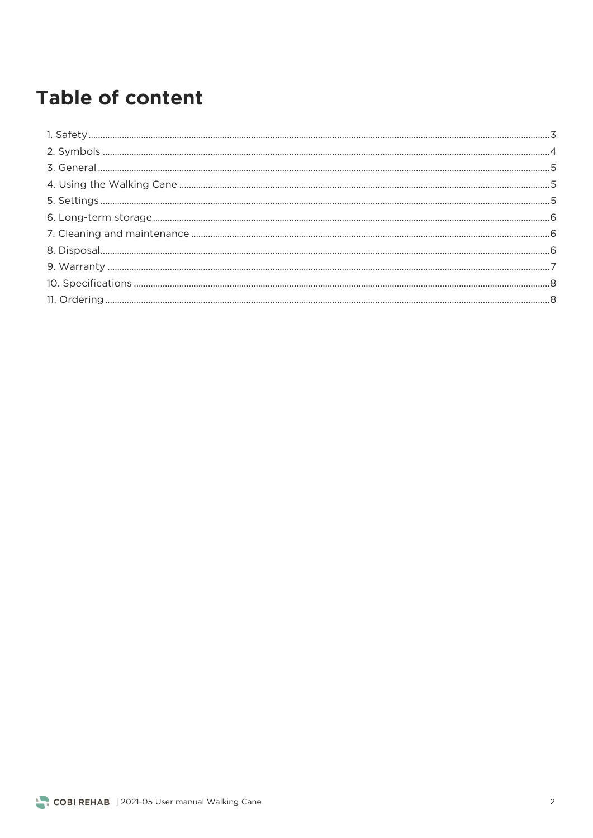## **Table of content**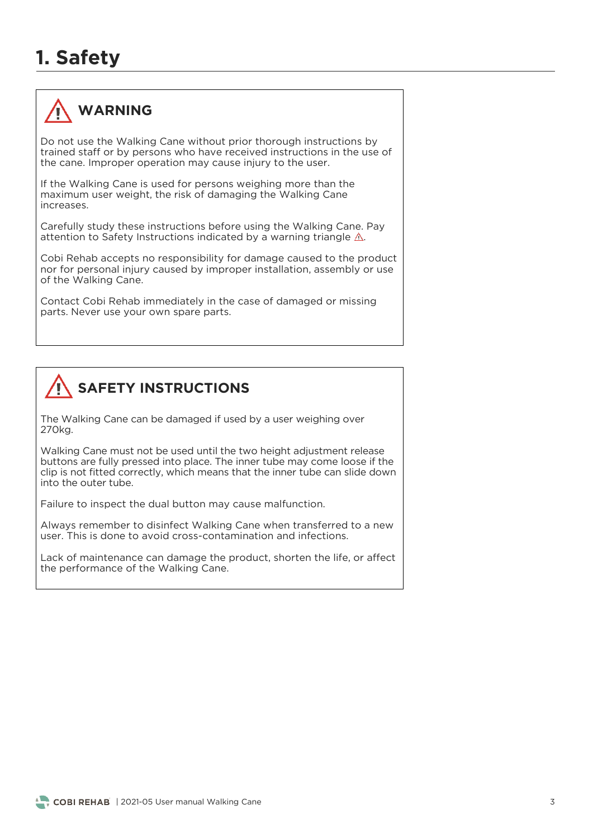## **1. Safety**



#### **WARNING**

Do not use the Walking Cane without prior thorough instructions by trained staff or by persons who have received instructions in the use of the cane. Improper operation may cause injury to the user. the cane. Improper operation may cause injury to the user.

If the Walking Cane is used for persons weighing more than the maximum user weight, the risk of damaging the Walking Cane increases.

carefully study these instructions indicated by a warning triangle  $\Lambda$ . attention to Safety Instructions indicated by a warning triangle .

Cobi Rehab accepts no responsibility for damage caused to the product nor for personal injury caused by improper installation, assembly or use of the Walking Cane. of the Walking Cane.

Contact Cobi Rehab immediately in the case of damaged or missing parts. Never use your own spare parts.



The Walking Cane can be damaged if used by a user weighing over 270kg.

Walking Cane must not be used until the two height adjustment release buttons are fully pressed into place. The inner tube may come loose if the clip is not fitted correctly, which means that the inner tube can slide down into the outer tube.

Failure to inspect the dual button may cause malfunction.

Always remember to disinfect Walking Cane when transferred to a new user. This is done to avoid cross-contamination and infections.

the performance of the Walking Cane. the performance of the Walking Cane.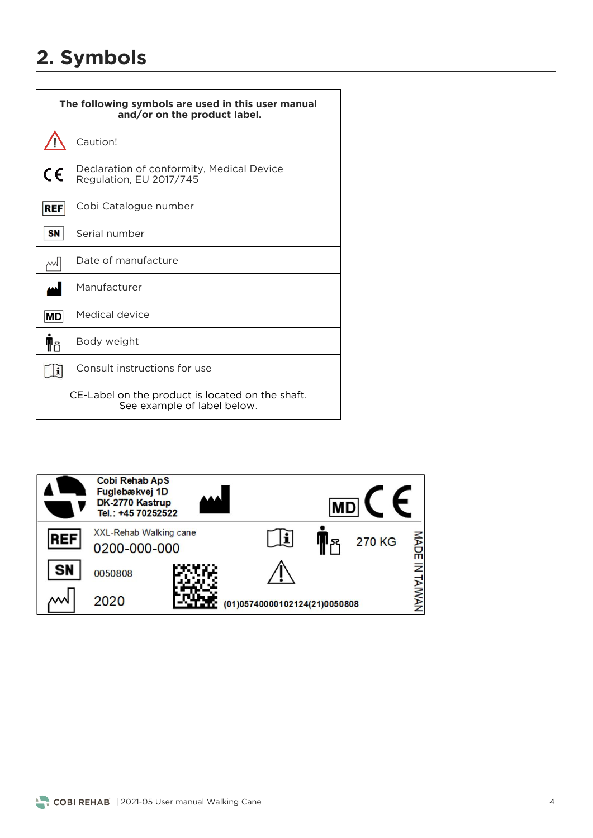## **2. Symbols**

| The following symbols are used in this user manual<br>and/or on the product label. |                                                                      |  |  |
|------------------------------------------------------------------------------------|----------------------------------------------------------------------|--|--|
|                                                                                    | Caution!                                                             |  |  |
| CE                                                                                 | Declaration of conformity, Medical Device<br>Regulation, EU 2017/745 |  |  |
| <b>REF</b>                                                                         | Cobi Catalogue number                                                |  |  |
| <b>SN</b>                                                                          | Serial number                                                        |  |  |
| w                                                                                  | Date of manufacture                                                  |  |  |
| لمم                                                                                | Manufacturer                                                         |  |  |
| <b>MD</b>                                                                          | Medical device                                                       |  |  |
| ¶۴                                                                                 | Body weight                                                          |  |  |
| i                                                                                  | Consult instructions for use                                         |  |  |
| CE-Label on the product is located on the shaft.<br>See example of label below.    |                                                                      |  |  |

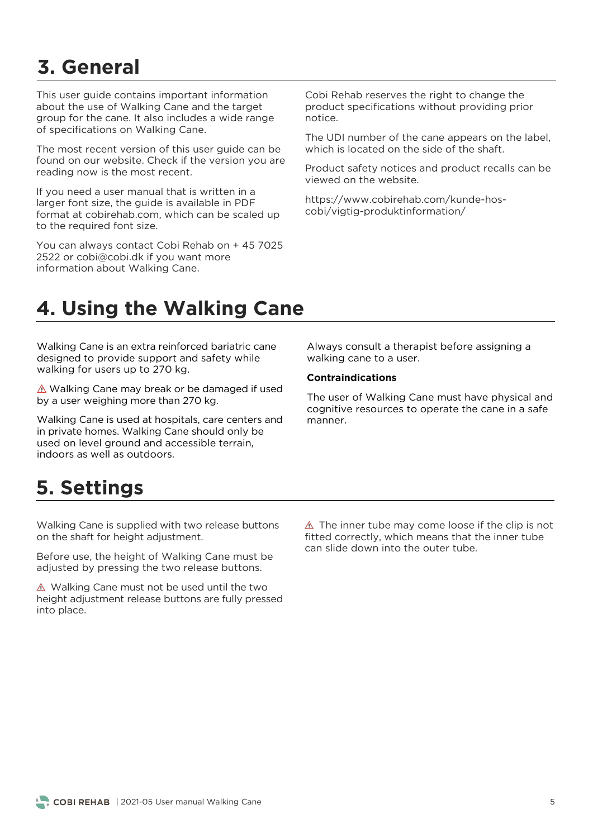# **3. General**

This user quide contains important information about the use of Walking Cane and the target group for the cane. It also includes a wide range group.<br>Of specifications on Walking Cane. of specifications on Walking Cane.

The most recent version of this user guide can be found on our website. Check if the version you are reading now is the most recent. reading now is the most recent.

If you need a user manual that is written in a larger font size, the guide is available in PDF format at cobirehab.com, which can be scaled up to the required font size. to the required font size.

You can always contact Cobi Rehab on + 45 7025<br>2522 or cobi@cobi.dk if you want more information about Walking Cane information about Walking Cane.

Cobi Rehab reserves the right to change the<br>product specifications without providing prior notice

The UDI number of the cane appears on the label, which is located on the side of the shaft.

Product safety notices and product recalls can be viewed on the website.

 $\frac{1}{2}$  $\sum_{i=1}^{n}$ 

## **4. Using the Walking Cane**

Walking Cane is an extra reinforced bariatric cane designed to provide support and safety while  $\frac{d}{dx}$  walking for users up to 270 kg walking for users up to 270 kg.

 $\frac{1}{2}$  is expected in the matter than 270 kg by a user weighing more than 270 kg.

Walking Cane is used at hospitals, care centers and<br>in private homes. Walking Cane should only be used on level ground and accessible terrain, indoors as well as outdoors.

#### $W$ alking cane to a user walking cane to a user.

#### **Contraindications**

The user of Walking Cane must have physical and cognitive resources to operate the cane in a safe manner

### **5. Settings**

walking Cane is supplied with the release buttons on the shaft for height adjustment.

Person ass, the height of the analysis cane must be adjusted by pressing the two release buttons.

Walking Cane must not be used and the the height adjustment release buttons are fully pressed into place.

 $\triangle$  The inner tube may come loose if the clip is not fitted correctly, which means that the inner tube can slide down into the outer tube.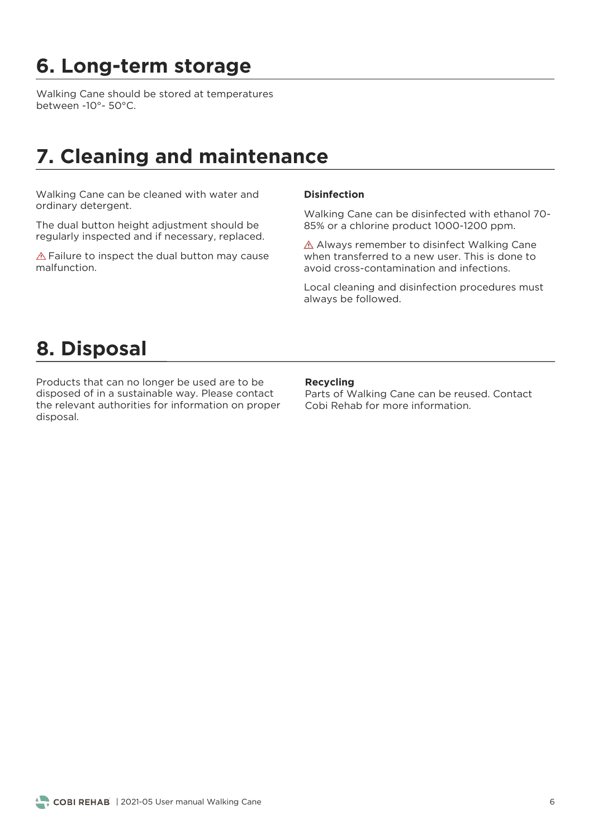# **6. Long-term storage**

Walking Cane should be stored at temperatures<br>between -10°- 50°C. between -10°- 50°C.

### **7. Cleaning and maintenance**

ordinary detergent ordinary detergent.

The dual button height adjustment should be reqularly inspected and if necessary, replaced. regularly inspected and if necessary, replaced.

 $\triangle$  Failure to inspect the dual button may cause malfunction.

#### **Disinfection**

Walking Cane can be disinfected with ethanol 70-<br>85% or a chlorine product 1000-1200 ppm. 85% or a chlorine product 1000-1200 ppm.

 $\triangle$  Always remember to disinfect Walking Cane when transferred to a new user. This is done to avoid cross-contamination and infections.

Local cleaning and disinfection procedures must<br>always be followed. always be followed.

#### **8. Disposal**

Products that can no longer be used are to be the relevant authorities for information on proper disposal. disposal.

#### **Recycling**

Parts of Walking Cane can be reused. Contact<br>Cobi Rehab for more information.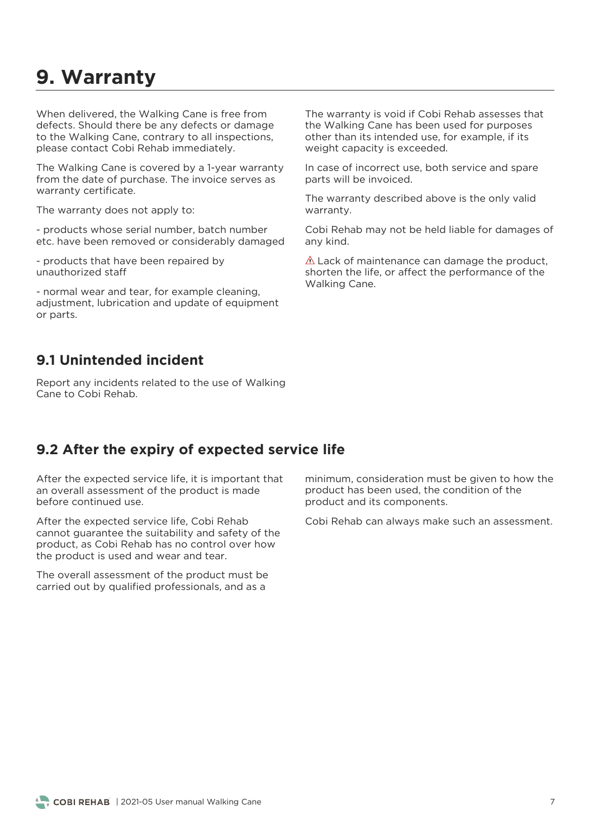#### **9. Warranty**

When delivered, the Walking Cane is free from<br>defects. Should there be any defects or damage to the Walking Cane, contrary to all inspections. please contact Cobi Rehab immediately. please contact Cobi Rehab immediately.

The Walking Cane is covered by a 1-year warranty from the date of purchase. The invoice serves as warranty certificate. warranty certificate.

The warranty does not apply to:

etc have been removed or considerably damage etc. have been removed or considerably damaged

- products that have been repaired by<br>unauthorized staff

- normal wear and tear, for example cleaning, or parts. or parts.

The warranty is void if Cobi Rehab assesses that<br>the Walking Cane has been used for purposes other than its intended use, for example, if its weight capacity is exceeded. weight capacity is exceeded.

In case of incorrect use, both service and spare parts will be invoiced. parts will be invoiced.

The warranty described above is the only valid warranty.

Cobi Rehab may not be held liable for damages of any kind.

 $\triangle$  Lack of maintenance can damage the product, shorten the life, or affect the performance of the Walking Cane. Walking Cane.

#### **9.1 Unintended incident**

Report any incidents related to the use of Walking<br>Cane to Cobi Rehab.

#### **9.2 After the expiry of expected service life**

After the expected service life, it is important that an overall assessment of the product is made before continued use.

After the expected service life, Cobi Rehab<br>cannot quarantee the suitability and safety of the product, as Cobi Rehab has no control over how the product is used and wear and tear. the product is used and wear and tear.

The overall assessment of the product must be carried out by qualified professionals, and as a carried out by qualified professionals, and as a as a set of as a set of as a set of as a set of as a set of a

minimum, consideration must be given to how the product has been used, the condition of the product and its components. product and its components.

Cobi Rehab can always make such an assessment.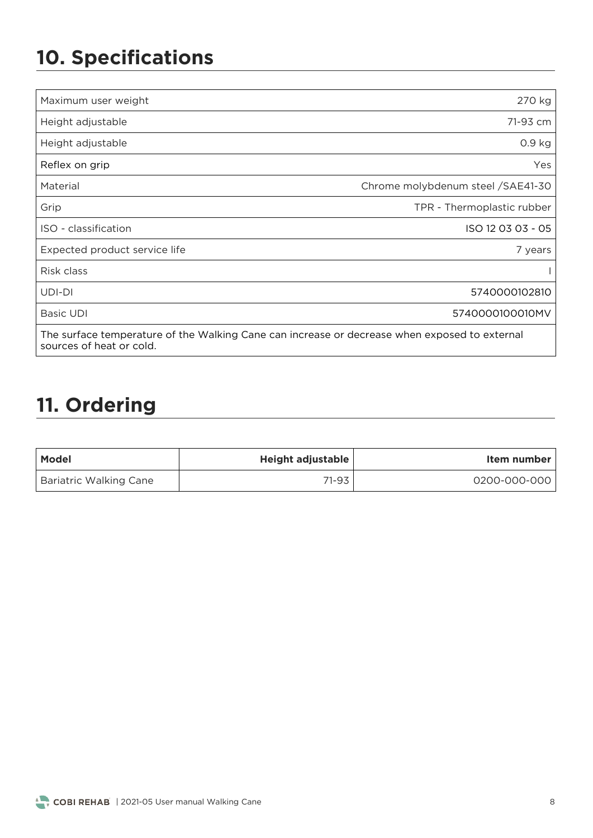# **10. Specifications**

| Maximum user weight                                                                                                       | 270 kg                             |  |
|---------------------------------------------------------------------------------------------------------------------------|------------------------------------|--|
| Height adjustable                                                                                                         | 71-93 cm                           |  |
| Height adjustable                                                                                                         | 0.9 <sub>kg</sub>                  |  |
| Reflex on grip                                                                                                            | Yes                                |  |
| Material                                                                                                                  | Chrome molybdenum steel / SAE41-30 |  |
| Grip                                                                                                                      | TPR - Thermoplastic rubber         |  |
| ISO - classification                                                                                                      | ISO 12 03 03 - 05                  |  |
| Expected product service life                                                                                             | 7 years                            |  |
| Risk class                                                                                                                |                                    |  |
| UDI-DI                                                                                                                    | 5740000102810                      |  |
| <b>Basic UDI</b>                                                                                                          | 5740000100010MV                    |  |
| The surface temperature of the Walking Cane can increase or decrease when exposed to external<br>sources of heat or cold. |                                    |  |

### **11. Ordering**

sources of heat or cold.

| <b>Model</b>                  | Height adjustable | Item number  |
|-------------------------------|-------------------|--------------|
| <b>Bariatric Walking Cane</b> | 71-93             | 0200-000-000 |